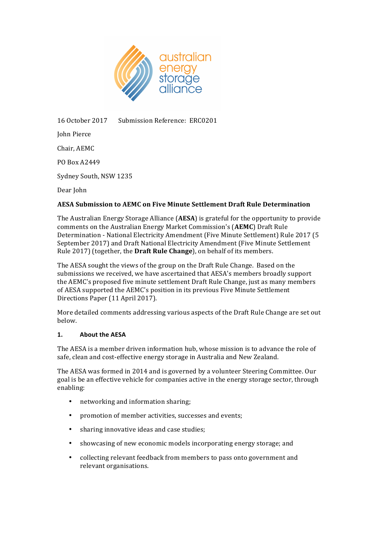

16 October 2017 Submission Reference: ERC0201

John Pierce Chair, AEMC PO Box A2449 Sydney South, NSW 1235 Dear John

# **AESA Submission to AEMC on Five Minute Settlement Draft Rule Determination**

The Australian Energy Storage Alliance (AESA) is grateful for the opportunity to provide comments on the Australian Energy Market Commission's (AEMC) Draft Rule Determination - National Electricity Amendment (Five Minute Settlement) Rule 2017 (5 September 2017) and Draft National Electricity Amendment (Five Minute Settlement Rule 2017) (together, the **Draft Rule Change**), on behalf of its members.

The AESA sought the views of the group on the Draft Rule Change. Based on the submissions we received, we have ascertained that AESA's members broadly support the AEMC's proposed five minute settlement Draft Rule Change, just as many members of AESA supported the AEMC's position in its previous Five Minute Settlement Directions Paper (11 April 2017).

More detailed comments addressing various aspects of the Draft Rule Change are set out below. 

## 1. **About the AESA**

The AESA is a member driven information hub, whose mission is to advance the role of safe, clean and cost-effective energy storage in Australia and New Zealand.

The AESA was formed in 2014 and is governed by a volunteer Steering Committee. Our goal is be an effective vehicle for companies active in the energy storage sector, through enabling:

- networking and information sharing;
- promotion of member activities, successes and events;
- sharing innovative ideas and case studies:
- showcasing of new economic models incorporating energy storage; and
- collecting relevant feedback from members to pass onto government and relevant organisations.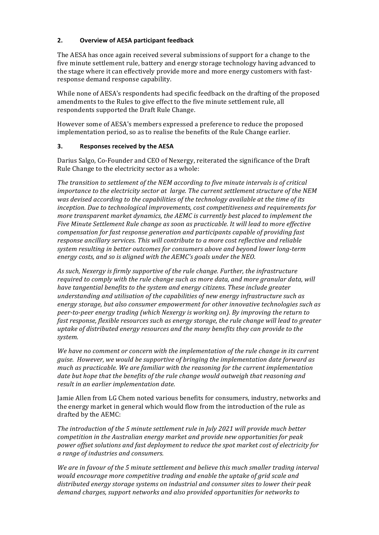## **2. Overview of AESA participant feedback**

The AESA has once again received several submissions of support for a change to the five minute settlement rule, battery and energy storage technology having advanced to the stage where it can effectively provide more and more energy customers with fastresponse demand response capability.

While none of AESA's respondents had specific feedback on the drafting of the proposed amendments to the Rules to give effect to the five minute settlement rule, all respondents supported the Draft Rule Change.

However some of AESA's members expressed a preference to reduce the proposed implementation period, so as to realise the benefits of the Rule Change earlier.

## **3.** Responses received by the AESA

Darius Salgo, Co-Founder and CEO of Nexergy, reiterated the significance of the Draft Rule Change to the electricity sector as a whole:

The transition to settlement of the NEM according to five minute intervals is of critical *importance to the electricity sector at large. The current settlement structure of the NEM* was devised according to the capabilities of the technology available at the time of its *inception.* Due to technological improvements, cost competitiveness and requirements for *more transparent market dynamics, the AEMC is currently best placed to implement the* Five Minute Settlement Rule change as soon as practicable. It will lead to more effective *compensation for fast response generation and participants capable of providing fast response ancillary services. This will contribute to a more cost reflective and reliable* system resulting in better outcomes for consumers above and beyond lower long-term energy costs, and so is aligned with the AEMC's goals under the NEO.

As such, Nexergy is firmly supportive of the rule change. Further, the infrastructure *required to comply with the rule change such as more data, and more granular data, will have tangential benefits to the system and energy citizens. These include greater* understanding and utilisation of the capabilities of new energy infrastructure such as energy storage, but also consumer empowerment for other innovative technologies such as *peer-to-peer energy trading* (which Nexergy is working on). By improving the return to *fast response, flexible resources such as energy storage, the rule change will lead to greater* uptake of distributed energy resources and the many benefits they can provide to the *system.*

We have no comment or concern with the *implementation* of the rule change in its current *guise. However, we would be supportive of bringing the implementation date forward as* much as practicable. We are familiar with the reasoning for the current implementation date but hope that the benefits of the rule change would outweigh that reasoning and *result in an earlier implementation date.* 

Jamie Allen from LG Chem noted various benefits for consumers, industry, networks and the energy market in general which would flow from the introduction of the rule as drafted by the AEMC:

The introduction of the 5 minute settlement rule in July 2021 will provide much better *competition in the Australian energy market and provide new opportunities for peak* power offset solutions and fast deployment to reduce the spot market cost of electricity for *a range of industries and consumers.*

We are in favour of the 5 minute settlement and believe this much smaller trading interval would encourage more competitive trading and enable the uptake of grid scale and distributed energy storage systems on industrial and consumer sites to lower their peak demand charges, support networks and also provided opportunities for networks to